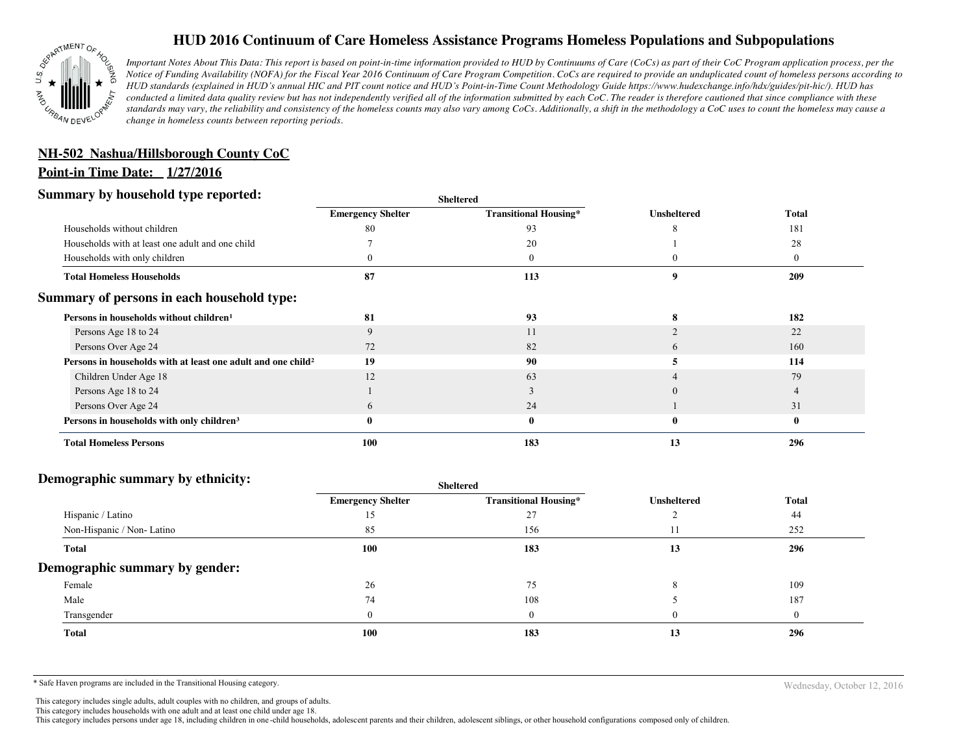

# **HUD 2016 Continuum of Care Homeless Assistance Programs Homeless Populations and Subpopulations**

*Important Notes About This Data: This report is based on point-in-time information provided to HUD by Continuums of Care (CoCs) as part of their CoC Program application process, per the Notice of Funding Availability (NOFA) for the Fiscal Year 2016 Continuum of Care Program Competition. CoCs are required to provide an unduplicated count of homeless persons according to HUD standards (explained in HUD's annual HIC and PIT count notice and HUD's Point-in-Time Count Methodology Guide https://www.hudexchange.info/hdx/guides/pit-hic/). HUD has conducted a limited data quality review but has not independently verified all of the information submitted by each CoC. The reader is therefore cautioned that since compliance with these*  standards may vary, the reliability and consistency of the homeless counts may also vary among CoCs. Additionally, a shift in the methodology a CoC uses to count the homeless may cause a *change in homeless counts between reporting periods.*

## **NH-502 Nashua/Hillsborough County CoC**

#### **Point-in Time Date: 1/27/2016**

### **Summary by household type reported:**

| эчнинагу бу почвеною туре герогіесі:                                     | <b>Sheltered</b>         |                              |                    |              |
|--------------------------------------------------------------------------|--------------------------|------------------------------|--------------------|--------------|
|                                                                          | <b>Emergency Shelter</b> | <b>Transitional Housing*</b> | <b>Unsheltered</b> | <b>Total</b> |
| Households without children                                              | -80                      | 93                           |                    | 181          |
| Households with at least one adult and one child                         |                          | 20                           |                    | 28           |
| Households with only children                                            |                          | $\theta$                     |                    | $\bf{0}$     |
| <b>Total Homeless Households</b>                                         | 87                       | 113                          | 9                  | 209          |
| Summary of persons in each household type:                               |                          |                              |                    |              |
| Persons in households without children <sup>1</sup>                      | 81                       | 93                           |                    | 182          |
| Persons Age 18 to 24                                                     | Q                        | 11                           |                    | 22           |
| Persons Over Age 24                                                      | 72                       | 82                           |                    | 160          |
| Persons in households with at least one adult and one child <sup>2</sup> | 19                       | 90                           |                    | 114          |
| Children Under Age 18                                                    | 12                       | 63                           |                    | 79           |
| Persons Age 18 to 24                                                     |                          |                              |                    |              |
| Persons Over Age 24                                                      | h.                       | 24                           |                    | 31           |
| Persons in households with only children <sup>3</sup>                    |                          | $\bf{0}$                     | 0                  | $\bf{0}$     |
| <b>Total Homeless Persons</b>                                            | 100                      | 183                          | 13                 | 296          |

#### **Demographic summary by ethnicity:**

|                                | Sheltered                |                              |                    |              |  |
|--------------------------------|--------------------------|------------------------------|--------------------|--------------|--|
|                                | <b>Emergency Shelter</b> | <b>Transitional Housing*</b> | <b>Unsheltered</b> | <b>Total</b> |  |
| Hispanic / Latino              |                          | 27                           |                    | 44           |  |
| Non-Hispanic / Non-Latino      | 85                       | 156                          | 11                 | 252          |  |
| <b>Total</b>                   | 100                      | 183                          | 13                 | 296          |  |
| Demographic summary by gender: |                          |                              |                    |              |  |
| Female                         | 26                       | 75                           |                    | 109          |  |
| Male                           | 74                       | 108                          |                    | 187          |  |
| Transgender                    | $\Omega$                 | $\theta$                     |                    | $\theta$     |  |
| <b>Total</b>                   | 100                      | 183                          | 13                 | 296          |  |
|                                |                          |                              |                    |              |  |

\* Safe Haven programs are included in the Transitional Housing category. Nechaster of the Transitional Housing category.

This category includes single adults, adult couples with no children, and groups of adults.

This category includes households with one adult and at least one child under age 18.

This category includes persons under age 18, including children in one -child households, adolescent parents and their children, adolescent siblings, or other household configurations composed only of children